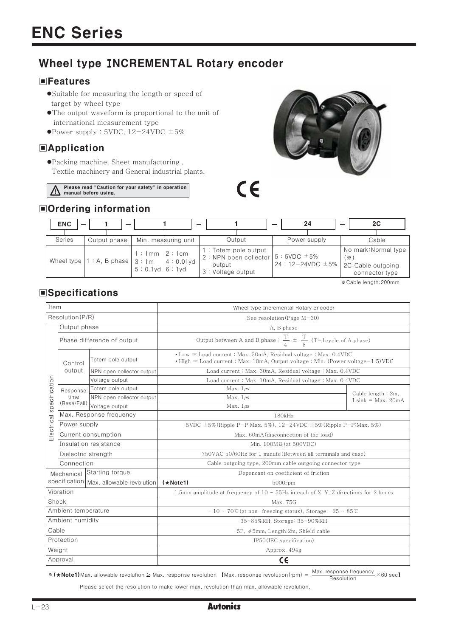## Wheel type INCREMENTAL Rotary encoder

## **EFeatures**

- Suitable for measuring the length or speed of target by wheel type
- The output waveform is proportional to the unit of international measurement type
- Power supply : 5VDC,  $12-24$ VDC  $\pm 5\%$

## **E**Application

●Packing machine, Sheet manufacturing, Textile machinery and General industrial plants.

Please read "Caution for your safety" in operation manual before using.

# $C\epsilon$

## Ordering information



\*Cable length: 200mm

## **Specifications**

| Item                |                                 |                           | Wheel type Incremental Rotary encoder                                                                                                                        |               |                                                 |  |  |
|---------------------|---------------------------------|---------------------------|--------------------------------------------------------------------------------------------------------------------------------------------------------------|---------------|-------------------------------------------------|--|--|
| Resolution (P/R)    |                                 |                           | See resolution (Page $M-30$ )                                                                                                                                |               |                                                 |  |  |
|                     | Output phase                    |                           | A, B phase                                                                                                                                                   |               |                                                 |  |  |
|                     | Phase difference of output      |                           | Output between A and B phase : $\frac{T}{4} \pm \frac{T}{8}$ (T=1cycle of A phase)                                                                           |               |                                                 |  |  |
|                     | Control<br>output               | Totem pole output         | • Low The Load current: Max. 30mA, Residual voltage: Max. 0.4VDC<br>• High $\equiv$ Load current : Max. 10mA, Output voltage : Min. (Power voltage -1.5) VDC |               |                                                 |  |  |
|                     |                                 | NPN open collector output | Load current: Max. 30mA, Residual voltage: Max. 0.4VDC                                                                                                       |               |                                                 |  |  |
|                     |                                 | Voltage output            | Load current: Max. 10mA, Residual voltage: Max. 0.4VDC                                                                                                       |               |                                                 |  |  |
|                     | Response<br>time<br>(Rese/Fall) | Totem pole output         |                                                                                                                                                              | Max. $1\mu s$ |                                                 |  |  |
| specification       |                                 | NPN open collector output |                                                                                                                                                              | Max. $1\mu s$ | Cable length $: 2m$ ,<br>$I \sin k = Max. 20mA$ |  |  |
|                     |                                 | Voltage output            |                                                                                                                                                              | Max. $1\mu s$ |                                                 |  |  |
|                     | Max. Response frequency         |                           | 180kHz                                                                                                                                                       |               |                                                 |  |  |
|                     | Power supply                    |                           | 5VDC $\pm$ 5% (Ripple P-P:Max, 5%), 12-24VDC $\pm$ 5% (Ripple P-P:Max, 5%)                                                                                   |               |                                                 |  |  |
| Electrical          | Current consumption             |                           | Max. 60mA (disconnection of the load)                                                                                                                        |               |                                                 |  |  |
|                     | Insulation resistance           |                           | Min. 100ΜΩ (at 500VDC)                                                                                                                                       |               |                                                 |  |  |
|                     | Dielectric strength             |                           | 750VAC 50/60Hz for 1 minute (Between all terminals and case)                                                                                                 |               |                                                 |  |  |
|                     | Connection                      |                           | Cable outgoing type, 200mm cable outgoing connector type                                                                                                     |               |                                                 |  |  |
|                     | Mechanical                      | Starting torque           | Depencant on coefficient of friction                                                                                                                         |               |                                                 |  |  |
|                     | specification                   | Max. allowable revolution | $(*Note1)$<br>5000rpm                                                                                                                                        |               |                                                 |  |  |
| Vibration           |                                 |                           | 1.5mm amplitude at frequency of $10 \sim 55$ Hz in each of X, Y, Z directions for 2 hours                                                                    |               |                                                 |  |  |
| Shock               |                                 |                           | Max. 75G                                                                                                                                                     |               |                                                 |  |  |
| Ambient temperature |                                 |                           | $-10 \sim 70^{\circ}$ C (at non-freezing status), Storage: $-25 \sim 85^{\circ}$ C                                                                           |               |                                                 |  |  |
| Ambient humidity    |                                 |                           | 35~85%RH, Storage: 35~90%RH                                                                                                                                  |               |                                                 |  |  |
| Cable               |                                 |                           | 5P, $\phi$ 5mm, Length: 2m, Shield cable                                                                                                                     |               |                                                 |  |  |
| Protection          |                                 |                           | IP50 (IEC specification)                                                                                                                                     |               |                                                 |  |  |
| Weight              |                                 |                           | Approx. 494g                                                                                                                                                 |               |                                                 |  |  |
| Approval            |                                 |                           | $C \in$                                                                                                                                                      |               |                                                 |  |  |

\* (★Note1)Max. allowable revolution ≥ Max. response revolution 【Max. response revolution(rpm) =  $\frac{\text{Max. response frequency}}{\text{Recolution}} \times 60 \text{ sec}$ 】 Resolution

Please select the resolution to make lower max. revolution than max. allowable revolution.